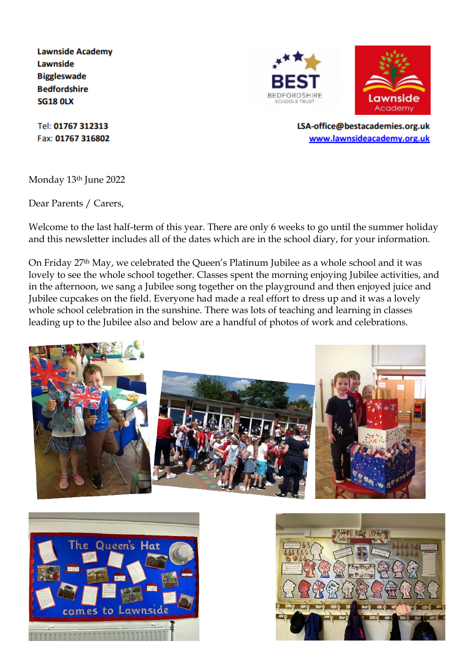**Lawnside Academy Lawnside Biggleswade Bedfordshire SG18 OLX** 

Tel: 01767 312313 Fax: 01767 316802

Monday 13th June 2022

Dear Parents / Carers,

Welcome to the last half-term of this year. There are only 6 weeks to go until the summer holiday and this newsletter includes all of the dates which are in the school diary, for your information.

On Friday 27th May, we celebrated the Queen's Platinum Jubilee as a whole school and it was lovely to see the whole school together. Classes spent the morning enjoying Jubilee activities, and in the afternoon, we sang a Jubilee song together on the playground and then enjoyed juice and Jubilee cupcakes on the field. Everyone had made a real effort to dress up and it was a lovely whole school celebration in the sunshine. There was lots of teaching and learning in classes leading up to the Jubilee also and below are a handful of photos of work and celebrations.











LSA-office@bestacademies.org.uk www.lawnsideacademy.org.uk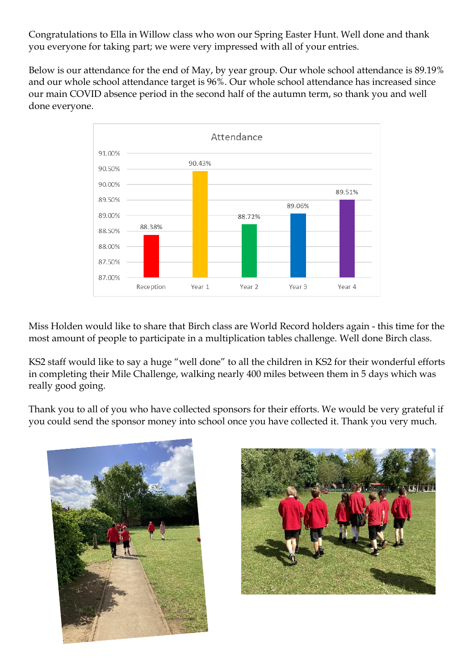Congratulations to Ella in Willow class who won our Spring Easter Hunt. Well done and thank you everyone for taking part; we were very impressed with all of your entries.

Below is our attendance for the end of May, by year group. Our whole school attendance is 89.19% and our whole school attendance target is 96%. Our whole school attendance has increased since our main COVID absence period in the second half of the autumn term, so thank you and well done everyone.



Miss Holden would like to share that Birch class are World Record holders again - this time for the most amount of people to participate in a multiplication tables challenge. Well done Birch class.

KS2 staff would like to say a huge "well done" to all the children in KS2 for their wonderful efforts in completing their Mile Challenge, walking nearly 400 miles between them in 5 days which was really good going.

Thank you to all of you who have collected sponsors for their efforts. We would be very grateful if you could send the sponsor money into school once you have collected it. Thank you very much.



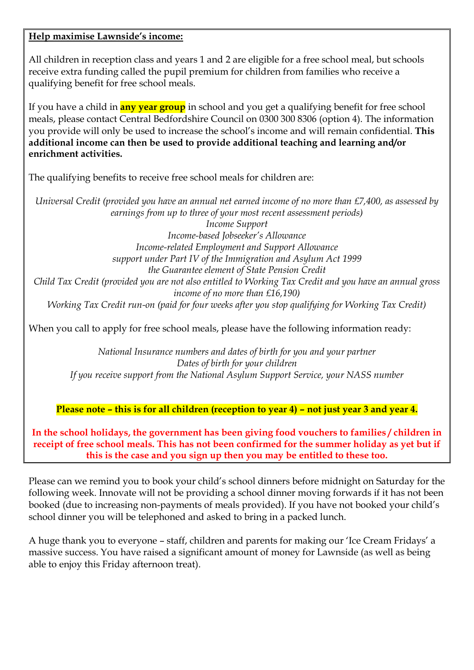## **Help maximise Lawnside's income:**

All children in reception class and years 1 and 2 are eligible for a free school meal, but schools receive extra funding called the pupil premium for children from families who receive a qualifying benefit for free school meals.

If you have a child in **any year group** in school and you get a qualifying benefit for free school meals, please contact Central Bedfordshire Council on 0300 300 8306 (option 4). The information you provide will only be used to increase the school's income and will remain confidential. **This additional income can then be used to provide additional teaching and learning and/or enrichment activities.**

The qualifying benefits to receive free school meals for children are:

*Universal Credit (provided you have an annual net earned income of no more than £7,400, as assessed by earnings from up to three of your most recent assessment periods) Income Support Income-based Jobseeker's Allowance Income-related Employment and Support Allowance support under Part IV of the Immigration and Asylum Act 1999 the Guarantee element of State Pension Credit Child Tax Credit (provided you are not also entitled to Working Tax Credit and you have an annual gross income of no more than £16,190) Working Tax Credit run-on (paid for four weeks after you stop qualifying for Working Tax Credit)*

When you call to apply for free school meals, please have the following information ready:

*National Insurance numbers and dates of birth for you and your partner Dates of birth for your children If you receive support from the National Asylum Support Service, your NASS number*

**Please note – this is for all children (reception to year 4) – not just year 3 and year 4.**

**In the school holidays, the government has been giving food vouchers to families / children in receipt of free school meals. This has not been confirmed for the summer holiday as yet but if this is the case and you sign up then you may be entitled to these too.**

Please can we remind you to book your child's school dinners before midnight on Saturday for the following week. Innovate will not be providing a school dinner moving forwards if it has not been booked (due to increasing non-payments of meals provided). If you have not booked your child's school dinner you will be telephoned and asked to bring in a packed lunch.

A huge thank you to everyone – staff, children and parents for making our 'Ice Cream Fridays' a massive success. You have raised a significant amount of money for Lawnside (as well as being able to enjoy this Friday afternoon treat).